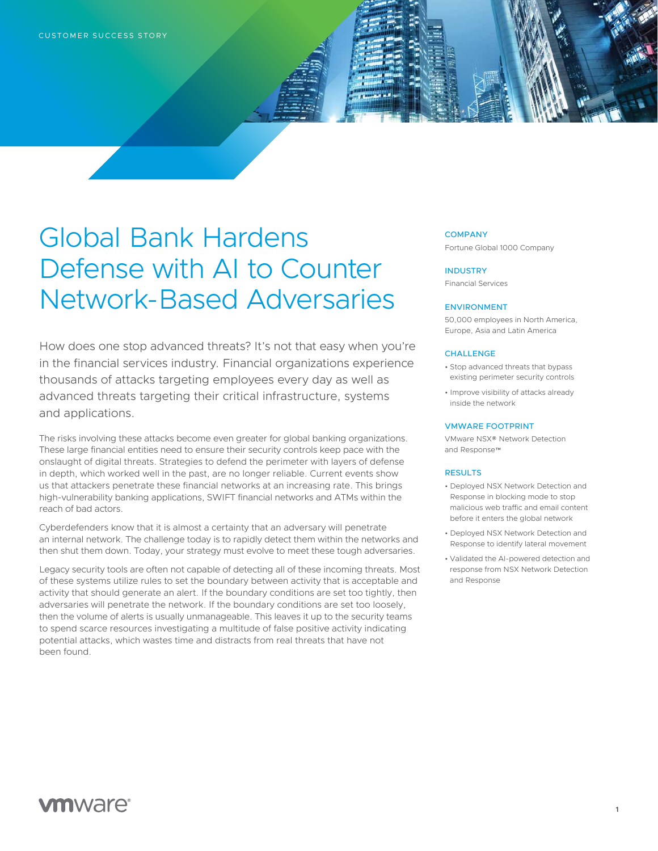# Global Bank Hardens Defense with AI to Counter Network-Based Adversaries

How does one stop advanced threats? It's not that easy when you're in the financial services industry. Financial organizations experience thousands of attacks targeting employees every day as well as advanced threats targeting their critical infrastructure, systems and applications.

The risks involving these attacks become even greater for global banking organizations. These large financial entities need to ensure their security controls keep pace with the onslaught of digital threats. Strategies to defend the perimeter with layers of defense in depth, which worked well in the past, are no longer reliable. Current events show us that attackers penetrate these financial networks at an increasing rate. This brings high-vulnerability banking applications, SWIFT financial networks and ATMs within the reach of bad actors.

Cyberdefenders know that it is almost a certainty that an adversary will penetrate an internal network. The challenge today is to rapidly detect them within the networks and then shut them down. Today, your strategy must evolve to meet these tough adversaries.

Legacy security tools are often not capable of detecting all of these incoming threats. Most of these systems utilize rules to set the boundary between activity that is acceptable and activity that should generate an alert. If the boundary conditions are set too tightly, then adversaries will penetrate the network. If the boundary conditions are set too loosely, then the volume of alerts is usually unmanageable. This leaves it up to the security teams to spend scarce resources investigating a multitude of false positive activity indicating potential attacks, which wastes time and distracts from real threats that have not been found.

### **COMPANY**

Fortune Global 1000 Company

INDUSTRY Financial Services

### ENVIRONMENT

50,000 employees in North America, Europe, Asia and Latin America

### **CHALLENGE**

- Stop advanced threats that bypass existing perimeter security controls
- Improve visibility of attacks already inside the network

### VMWARE FOOTPRINT

VMware NSX® Network Detection and Response™

### RESULTS

- Deployed NSX Network Detection and Response in blocking mode to stop malicious web traffic and email content before it enters the global network
- Deployed NSX Network Detection and Response to identify lateral movement
- Validated the AI-powered detection and response from NSX Network Detection and Response

# **vm**ware<sup>®</sup>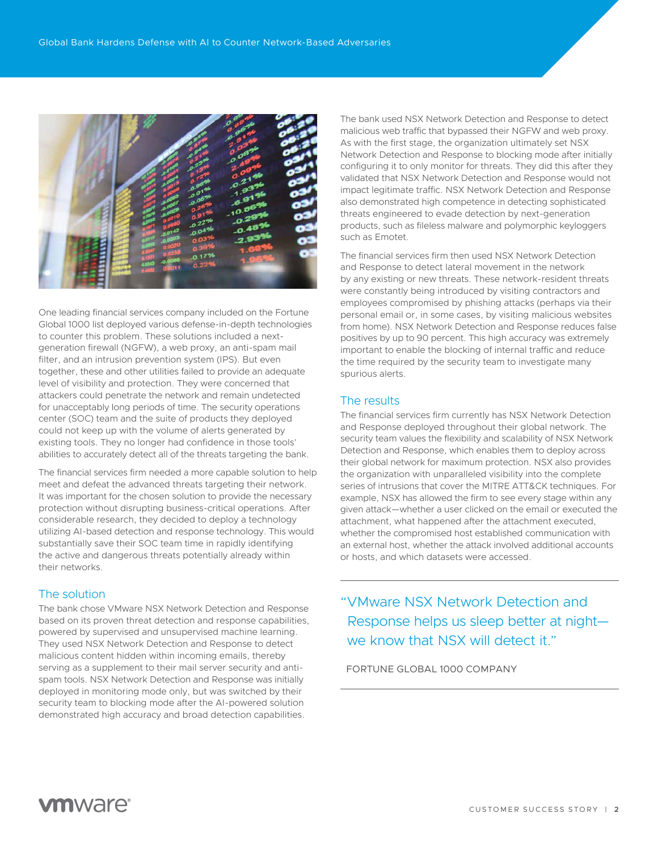

One leading financial services company included on the Fortune Global 1000 list deployed various defense-in-depth technologies to counter this problem. These solutions included a nextgeneration firewall (NGFW), a web proxy, an anti-spam mail filter, and an intrusion prevention system (IPS). But even together, these and other utilities failed to provide an adequate level of visibility and protection. They were concerned that attackers could penetrate the network and remain undetected for unacceptably long periods of time. The security operations center (SOC) team and the suite of products they deployed could not keep up with the volume of alerts generated by existing tools. They no longer had confidence in those tools' abilities to accurately detect all of the threats targeting the bank.

The financial services firm needed a more capable solution to help meet and defeat the advanced threats targeting their network. It was important for the chosen solution to provide the necessary protection without disrupting business-critical operations. After considerable research, they decided to deploy a technology utilizing AI-based detection and response technology. This would substantially save their SOC team time in rapidly identifying the active and dangerous threats potentially already within their networks.

# The solution

The bank chose VMware NSX Network Detection and Response based on its proven threat detection and response capabilities, powered by supervised and unsupervised machine learning. They used NSX Network Detection and Response to detect malicious content hidden within incoming emails, thereby serving as a supplement to their mail server security and antispam tools. NSX Network Detection and Response was initially deployed in monitoring mode only, but was switched by their security team to blocking mode after the AI-powered solution demonstrated high accuracy and broad detection capabilities.

The bank used NSX Network Detection and Response to detect malicious web traffic that bypassed their NGFW and web proxy. As with the first stage, the organization ultimately set NSX Network Detection and Response to blocking mode after initially configuring it to only monitor for threats. They did this after they validated that NSX Network Detection and Response would not impact legitimate traffic. NSX Network Detection and Response also demonstrated high competence in detecting sophisticated threats engineered to evade detection by next-generation products, such as fileless malware and polymorphic keyloggers such as Emotet.

The financial services firm then used NSX Network Detection and Response to detect lateral movement in the network by any existing or new threats. These network-resident threats were constantly being introduced by visiting contractors and employees compromised by phishing attacks (perhaps via their personal email or, in some cases, by visiting malicious websites from home). NSX Network Detection and Response reduces false positives by up to 90 percent. This high accuracy was extremely important to enable the blocking of internal traffic and reduce the time required by the security team to investigate many spurious alerts.

### The results

The financial services firm currently has NSX Network Detection and Response deployed throughout their global network. The security team values the flexibility and scalability of NSX Network Detection and Response, which enables them to deploy across their global network for maximum protection. NSX also provides the organization with unparalleled visibility into the complete series of intrusions that cover the MITRE ATT&CK techniques. For example, NSX has allowed the firm to see every stage within any given attack—whether a user clicked on the email or executed the attachment, what happened after the attachment executed, whether the compromised host established communication with an external host, whether the attack involved additional accounts or hosts, and which datasets were accessed.

"VMware NSX Network Detection and Response helps us sleep better at night we know that NSX will detect it."

FORTUNE GLOBAL 1000 COMPANY

**vm**ware<sup>®</sup>